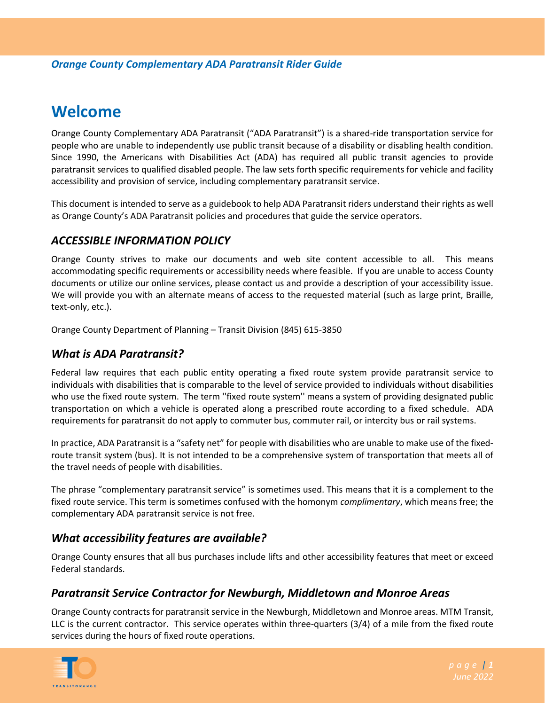# **Welcome**

Orange County Complementary ADA Paratransit ("ADA Paratransit") is a shared-ride transportation service for people who are unable to independently use public transit because of a disability or disabling health condition. Since 1990, the Americans with Disabilities Act (ADA) has required all public transit agencies to provide paratransit services to qualified disabled people. The law sets forth specific requirements for vehicle and facility accessibility and provision of service, including complementary paratransit service.

This document is intended to serve as a guidebook to help ADA Paratransit riders understand their rights as well as Orange County's ADA Paratransit policies and procedures that guide the service operators.

## *ACCESSIBLE INFORMATION POLICY*

Orange County strives to make our documents and web site content accessible to all. This means accommodating specific requirements or accessibility needs where feasible. If you are unable to access County documents or utilize our online services, please contact us and provide a description of your accessibility issue. We will provide you with an alternate means of access to the requested material (such as large print, Braille, text-only, etc.).

Orange County Department of Planning – Transit Division (845) 615-3850

# *What is ADA Paratransit?*

Federal law requires that each public entity operating a fixed route system provide paratransit service to individuals with disabilities that is comparable to the level of service provided to individuals without disabilities who use the fixed route system. The term ''fixed route system'' means a system of providing designated public transportation on which a vehicle is operated along a prescribed route according to a fixed schedule. ADA requirements for paratransit do not apply to commuter bus, commuter rail, or intercity bus or rail systems.

In practice, ADA Paratransit is a "safety net" for people with disabilities who are unable to make use of the fixedroute transit system (bus). It is not intended to be a comprehensive system of transportation that meets all of the travel needs of people with disabilities.

The phrase "complementary paratransit service" is sometimes used. This means that it is a complement to the fixed route service. This term is sometimes confused with the homonym *complimentary*, which means free; the complementary ADA paratransit service is not free.

# *What accessibility features are available?*

Orange County ensures that all bus purchases include lifts and other accessibility features that meet or exceed Federal standards.

# *Paratransit Service Contractor for Newburgh, Middletown and Monroe Areas*

Orange County contracts for paratransit service in the Newburgh, Middletown and Monroe areas. MTM Transit, LLC is the current contractor. This service operates within three-quarters (3/4) of a mile from the fixed route services during the hours of fixed route operations.

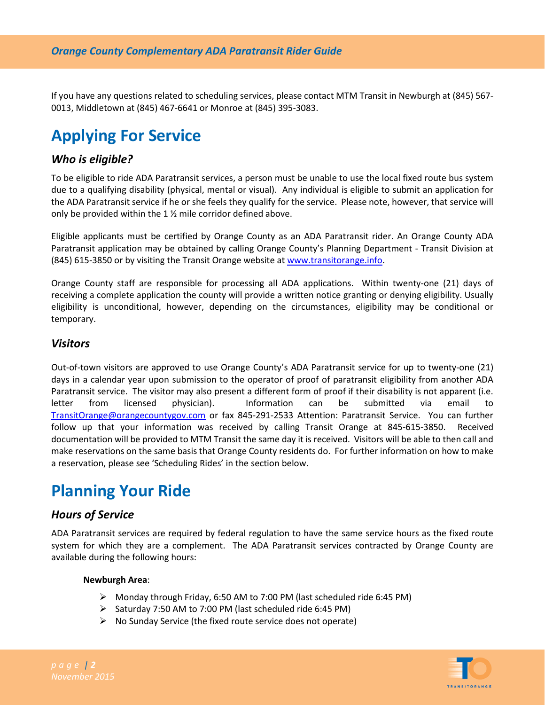If you have any questions related to scheduling services, please contact MTM Transit in Newburgh at (845) 567- 0013, Middletown at (845) 467-6641 or Monroe at (845) 395-3083.

# **Applying For Service**

## *Who is eligible?*

To be eligible to ride ADA Paratransit services, a person must be unable to use the local fixed route bus system due to a qualifying disability (physical, mental or visual). Any individual is eligible to submit an application for the ADA Paratransit service if he or she feels they qualify for the service. Please note, however, that service will only be provided within the 1 ½ mile corridor defined above.

Eligible applicants must be certified by Orange County as an ADA Paratransit rider. An Orange County ADA Paratransit application may be obtained by calling Orange County's Planning Department - Transit Division at (845) 615-3850 or by visiting the Transit Orange website a[t www.transitorange.info.](http://www.transitorange.info/)

Orange County staff are responsible for processing all ADA applications. Within twenty-one (21) days of receiving a complete application the county will provide a written notice granting or denying eligibility. Usually eligibility is unconditional, however, depending on the circumstances, eligibility may be conditional or temporary.

### *Visitors*

Out-of-town visitors are approved to use Orange County's ADA Paratransit service for up to twenty-one (21) days in a calendar year upon submission to the operator of proof of paratransit eligibility from another ADA Paratransit service. The visitor may also present a different form of proof if their disability is not apparent (i.e. letter from licensed physician). Information can be submitted via email to [TransitOrange@orangecountygov.com](mailto:TransitOrange@orangecountygov.com) or fax 845-291-2533 Attention: Paratransit Service. You can further follow up that your information was received by calling Transit Orange at 845-615-3850. Received documentation will be provided to MTM Transit the same day it is received. Visitors will be able to then call and make reservations on the same basis that Orange County residents do. For further information on how to make a reservation, please see 'Scheduling Rides' in the section below.

# **Planning Your Ride**

# *Hours of Service*

ADA Paratransit services are required by federal regulation to have the same service hours as the fixed route system for which they are a complement. The ADA Paratransit services contracted by Orange County are available during the following hours:

#### **Newburgh Area**:

- Monday through Friday, 6:50 AM to 7:00 PM (last scheduled ride 6:45 PM)
- $\triangleright$  Saturday 7:50 AM to 7:00 PM (last scheduled ride 6:45 PM)
- $\triangleright$  No Sunday Service (the fixed route service does not operate)

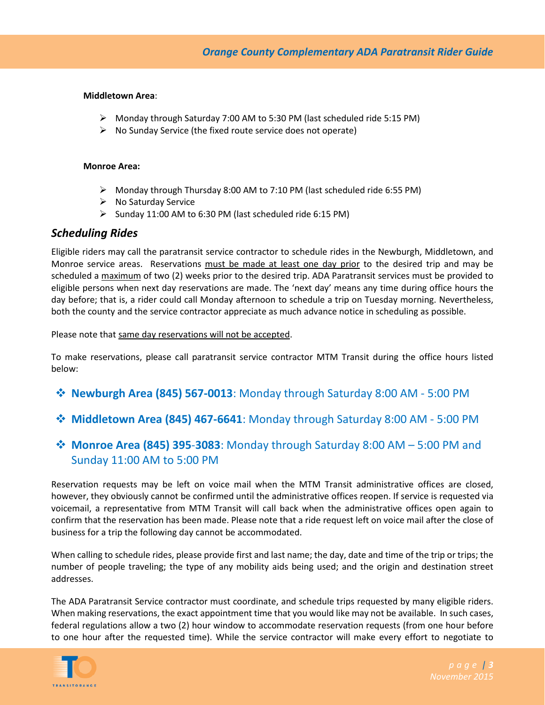#### **Middletown Area**:

- $\triangleright$  Monday through Saturday 7:00 AM to 5:30 PM (last scheduled ride 5:15 PM)
- $\triangleright$  No Sunday Service (the fixed route service does not operate)

#### **Monroe Area:**

- Monday through Thursday 8:00 AM to 7:10 PM (last scheduled ride 6:55 PM)
- $\triangleright$  No Saturday Service
- Sunday 11:00 AM to 6:30 PM (last scheduled ride 6:15 PM)

### *Scheduling Rides*

Eligible riders may call the paratransit service contractor to schedule rides in the Newburgh, Middletown, and Monroe service areas. Reservations must be made at least one day prior to the desired trip and may be scheduled a maximum of two (2) weeks prior to the desired trip. ADA Paratransit services must be provided to eligible persons when next day reservations are made. The 'next day' means any time during office hours the day before; that is, a rider could call Monday afternoon to schedule a trip on Tuesday morning. Nevertheless, both the county and the service contractor appreciate as much advance notice in scheduling as possible.

Please note that same day reservations will not be accepted.

To make reservations, please call paratransit service contractor MTM Transit during the office hours listed below:

- **Newburgh Area (845) 567-0013**: Monday through Saturday 8:00 AM 5:00 PM
- **Middletown Area (845) 467-6641**: Monday through Saturday 8:00 AM 5:00 PM

# **Monroe Area (845) 395**-**3083**: Monday through Saturday 8:00 AM – 5:00 PM and Sunday 11:00 AM to 5:00 PM

Reservation requests may be left on voice mail when the MTM Transit administrative offices are closed, however, they obviously cannot be confirmed until the administrative offices reopen. If service is requested via voicemail, a representative from MTM Transit will call back when the administrative offices open again to confirm that the reservation has been made. Please note that a ride request left on voice mail after the close of business for a trip the following day cannot be accommodated.

When calling to schedule rides, please provide first and last name; the day, date and time of the trip or trips; the number of people traveling; the type of any mobility aids being used; and the origin and destination street addresses.

The ADA Paratransit Service contractor must coordinate, and schedule trips requested by many eligible riders. When making reservations, the exact appointment time that you would like may not be available. In such cases, federal regulations allow a two (2) hour window to accommodate reservation requests (from one hour before to one hour after the requested time). While the service contractor will make every effort to negotiate to

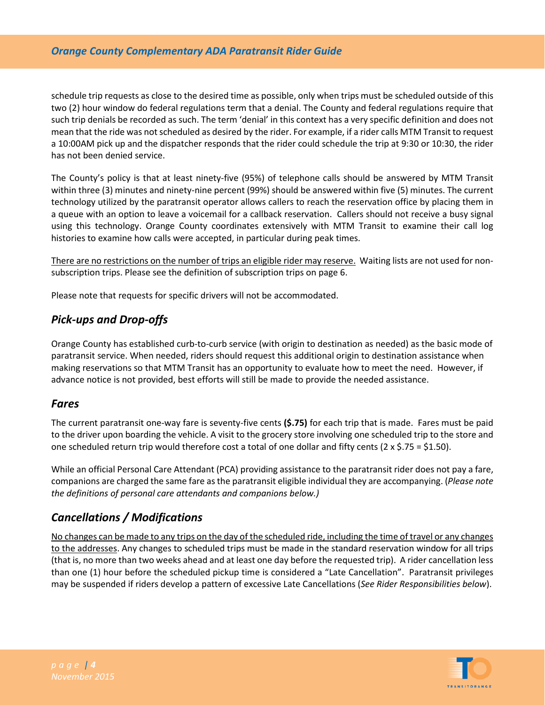### *Orange County Complementary ADA Paratransit Rider Guide*

schedule trip requests as close to the desired time as possible, only when trips must be scheduled outside of this two (2) hour window do federal regulations term that a denial. The County and federal regulations require that such trip denials be recorded as such. The term 'denial' in this context has a very specific definition and does not mean that the ride was not scheduled as desired by the rider. For example, if a rider calls MTM Transit to request a 10:00AM pick up and the dispatcher responds that the rider could schedule the trip at 9:30 or 10:30, the rider has not been denied service.

The County's policy is that at least ninety-five (95%) of telephone calls should be answered by MTM Transit within three (3) minutes and ninety-nine percent (99%) should be answered within five (5) minutes. The current technology utilized by the paratransit operator allows callers to reach the reservation office by placing them in a queue with an option to leave a voicemail for a callback reservation. Callers should not receive a busy signal using this technology. Orange County coordinates extensively with MTM Transit to examine their call log histories to examine how calls were accepted, in particular during peak times.

There are no restrictions on the number of trips an eligible rider may reserve. Waiting lists are not used for nonsubscription trips. Please see the definition of subscription trips on page 6.

Please note that requests for specific drivers will not be accommodated.

# *Pick-ups and Drop-offs*

Orange County has established curb-to-curb service (with origin to destination as needed) as the basic mode of paratransit service. When needed, riders should request this additional origin to destination assistance when making reservations so that MTM Transit has an opportunity to evaluate how to meet the need. However, if advance notice is not provided, best efforts will still be made to provide the needed assistance.

# *Fares*

The current paratransit one-way fare is seventy-five cents **(\$.75)** for each trip that is made. Fares must be paid to the driver upon boarding the vehicle. A visit to the grocery store involving one scheduled trip to the store and one scheduled return trip would therefore cost a total of one dollar and fifty cents (2 x \$.75 = \$1.50).

While an official Personal Care Attendant (PCA) providing assistance to the paratransit rider does not pay a fare, companions are charged the same fare as the paratransit eligible individual they are accompanying. (*Please note the definitions of personal care attendants and companions below.)*

# *Cancellations / Modifications*

No changes can be made to any trips on the day of the scheduled ride, including the time of travel or any changes to the addresses. Any changes to scheduled trips must be made in the standard reservation window for all trips (that is, no more than two weeks ahead and at least one day before the requested trip). A rider cancellation less than one (1) hour before the scheduled pickup time is considered a "Late Cancellation". Paratransit privileges may be suspended if riders develop a pattern of excessive Late Cancellations (*See Rider Responsibilities below*).

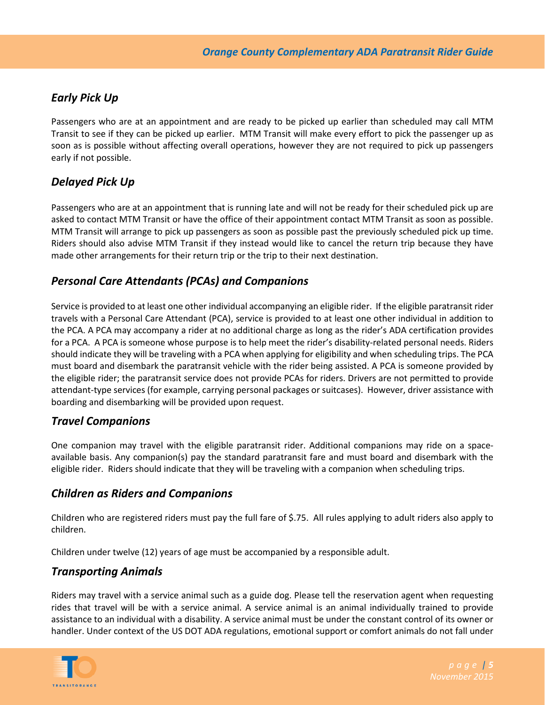# *Early Pick Up*

Passengers who are at an appointment and are ready to be picked up earlier than scheduled may call MTM Transit to see if they can be picked up earlier. MTM Transit will make every effort to pick the passenger up as soon as is possible without affecting overall operations, however they are not required to pick up passengers early if not possible.

# *Delayed Pick Up*

Passengers who are at an appointment that is running late and will not be ready for their scheduled pick up are asked to contact MTM Transit or have the office of their appointment contact MTM Transit as soon as possible. MTM Transit will arrange to pick up passengers as soon as possible past the previously scheduled pick up time. Riders should also advise MTM Transit if they instead would like to cancel the return trip because they have made other arrangements for their return trip or the trip to their next destination.

# *Personal Care Attendants (PCAs) and Companions*

Service is provided to at least one other individual accompanying an eligible rider. If the eligible paratransit rider travels with a Personal Care Attendant (PCA), service is provided to at least one other individual in addition to the PCA. A PCA may accompany a rider at no additional charge as long as the rider's ADA certification provides for a PCA. A PCA is someone whose purpose is to help meet the rider's disability-related personal needs. Riders should indicate they will be traveling with a PCA when applying for eligibility and when scheduling trips. The PCA must board and disembark the paratransit vehicle with the rider being assisted. A PCA is someone provided by the eligible rider; the paratransit service does not provide PCAs for riders. Drivers are not permitted to provide attendant-type services (for example, carrying personal packages or suitcases). However, driver assistance with boarding and disembarking will be provided upon request.

# *Travel Companions*

One companion may travel with the eligible paratransit rider. Additional companions may ride on a spaceavailable basis. Any companion(s) pay the standard paratransit fare and must board and disembark with the eligible rider. Riders should indicate that they will be traveling with a companion when scheduling trips.

# *Children as Riders and Companions*

Children who are registered riders must pay the full fare of \$.75. All rules applying to adult riders also apply to children.

Children under twelve (12) years of age must be accompanied by a responsible adult.

# *Transporting Animals*

Riders may travel with a service animal such as a guide dog. Please tell the reservation agent when requesting rides that travel will be with a service animal. A service animal is an animal individually trained to provide assistance to an individual with a disability. A service animal must be under the constant control of its owner or handler. Under context of the US DOT ADA regulations, emotional support or comfort animals do not fall under

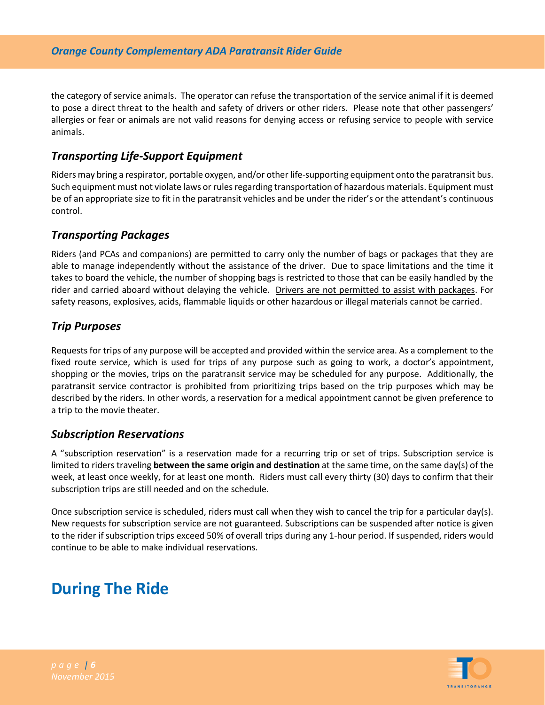the category of service animals. The operator can refuse the transportation of the service animal if it is deemed to pose a direct threat to the health and safety of drivers or other riders. Please note that other passengers' allergies or fear or animals are not valid reasons for denying access or refusing service to people with service animals.

# *Transporting Life-Support Equipment*

Riders may bring a respirator, portable oxygen, and/or other life-supporting equipment onto the paratransit bus. Such equipment must not violate laws or rules regarding transportation of hazardous materials. Equipment must be of an appropriate size to fit in the paratransit vehicles and be under the rider's or the attendant's continuous control.

## *Transporting Packages*

Riders (and PCAs and companions) are permitted to carry only the number of bags or packages that they are able to manage independently without the assistance of the driver. Due to space limitations and the time it takes to board the vehicle, the number of shopping bags is restricted to those that can be easily handled by the rider and carried aboard without delaying the vehicle. Drivers are not permitted to assist with packages. For safety reasons, explosives, acids, flammable liquids or other hazardous or illegal materials cannot be carried.

# *Trip Purposes*

Requests for trips of any purpose will be accepted and provided within the service area. As a complement to the fixed route service, which is used for trips of any purpose such as going to work, a doctor's appointment, shopping or the movies, trips on the paratransit service may be scheduled for any purpose. Additionally, the paratransit service contractor is prohibited from prioritizing trips based on the trip purposes which may be described by the riders. In other words, a reservation for a medical appointment cannot be given preference to a trip to the movie theater.

### *Subscription Reservations*

A "subscription reservation" is a reservation made for a recurring trip or set of trips. Subscription service is limited to riders traveling **between the same origin and destination** at the same time, on the same day(s) of the week, at least once weekly, for at least one month. Riders must call every thirty (30) days to confirm that their subscription trips are still needed and on the schedule.

Once subscription service is scheduled, riders must call when they wish to cancel the trip for a particular day(s). New requests for subscription service are not guaranteed. Subscriptions can be suspended after notice is given to the rider if subscription trips exceed 50% of overall trips during any 1-hour period. If suspended, riders would continue to be able to make individual reservations.

# **During The Ride**

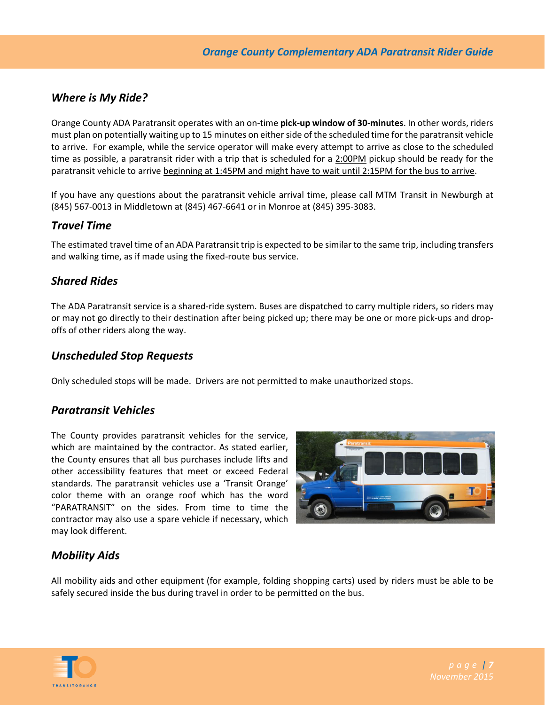# *Where is My Ride?*

Orange County ADA Paratransit operates with an on-time **pick-up window of 30-minutes**. In other words, riders must plan on potentially waiting up to 15 minutes on either side of the scheduled time for the paratransit vehicle to arrive. For example, while the service operator will make every attempt to arrive as close to the scheduled time as possible, a paratransit rider with a trip that is scheduled for a 2:00PM pickup should be ready for the paratransit vehicle to arrive beginning at 1:45PM and might have to wait until 2:15PM for the bus to arrive.

If you have any questions about the paratransit vehicle arrival time, please call MTM Transit in Newburgh at (845) 567-0013 in Middletown at (845) 467-6641 or in Monroe at (845) 395-3083.

## *Travel Time*

The estimated travel time of an ADA Paratransit trip is expected to be similar to the same trip, including transfers and walking time, as if made using the fixed-route bus service.

# *Shared Rides*

The ADA Paratransit service is a shared-ride system. Buses are dispatched to carry multiple riders, so riders may or may not go directly to their destination after being picked up; there may be one or more pick-ups and dropoffs of other riders along the way.

# *Unscheduled Stop Requests*

Only scheduled stops will be made. Drivers are not permitted to make unauthorized stops.

# *Paratransit Vehicles*

The County provides paratransit vehicles for the service, which are maintained by the contractor. As stated earlier, the County ensures that all bus purchases include lifts and other accessibility features that meet or exceed Federal standards. The paratransit vehicles use a 'Transit Orange' color theme with an orange roof which has the word "PARATRANSIT" on the sides. From time to time the contractor may also use a spare vehicle if necessary, which may look different.



# *Mobility Aids*

All mobility aids and other equipment (for example, folding shopping carts) used by riders must be able to be safely secured inside the bus during travel in order to be permitted on the bus.

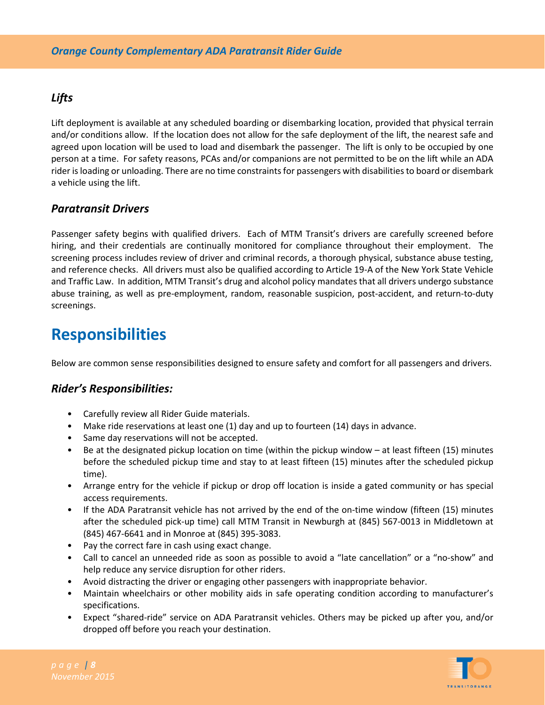# *Lifts*

Lift deployment is available at any scheduled boarding or disembarking location, provided that physical terrain and/or conditions allow. If the location does not allow for the safe deployment of the lift, the nearest safe and agreed upon location will be used to load and disembark the passenger. The lift is only to be occupied by one person at a time. For safety reasons, PCAs and/or companions are not permitted to be on the lift while an ADA rider is loading or unloading. There are no time constraints for passengers with disabilities to board or disembark a vehicle using the lift.

# *Paratransit Drivers*

Passenger safety begins with qualified drivers. Each of MTM Transit's drivers are carefully screened before hiring, and their credentials are continually monitored for compliance throughout their employment. The screening process includes review of driver and criminal records, a thorough physical, substance abuse testing, and reference checks. All drivers must also be qualified according to Article 19-A of the New York State Vehicle and Traffic Law. In addition, MTM Transit's drug and alcohol policy mandates that all drivers undergo substance abuse training, as well as pre-employment, random, reasonable suspicion, post-accident, and return-to-duty screenings.

# **Responsibilities**

Below are common sense responsibilities designed to ensure safety and comfort for all passengers and drivers.

# *Rider's Responsibilities:*

- Carefully review all Rider Guide materials.
- Make ride reservations at least one (1) day and up to fourteen (14) days in advance.
- Same day reservations will not be accepted.
- Be at the designated pickup location on time (within the pickup window at least fifteen (15) minutes before the scheduled pickup time and stay to at least fifteen (15) minutes after the scheduled pickup time).
- Arrange entry for the vehicle if pickup or drop off location is inside a gated community or has special access requirements.
- If the ADA Paratransit vehicle has not arrived by the end of the on-time window (fifteen (15) minutes after the scheduled pick-up time) call MTM Transit in Newburgh at (845) 567-0013 in Middletown at (845) 467-6641 and in Monroe at (845) 395-3083.
- Pay the correct fare in cash using exact change.
- Call to cancel an unneeded ride as soon as possible to avoid a "late cancellation" or a "no-show" and help reduce any service disruption for other riders.
- Avoid distracting the driver or engaging other passengers with inappropriate behavior.
- Maintain wheelchairs or other mobility aids in safe operating condition according to manufacturer's specifications.
- Expect "shared-ride" service on ADA Paratransit vehicles. Others may be picked up after you, and/or dropped off before you reach your destination.

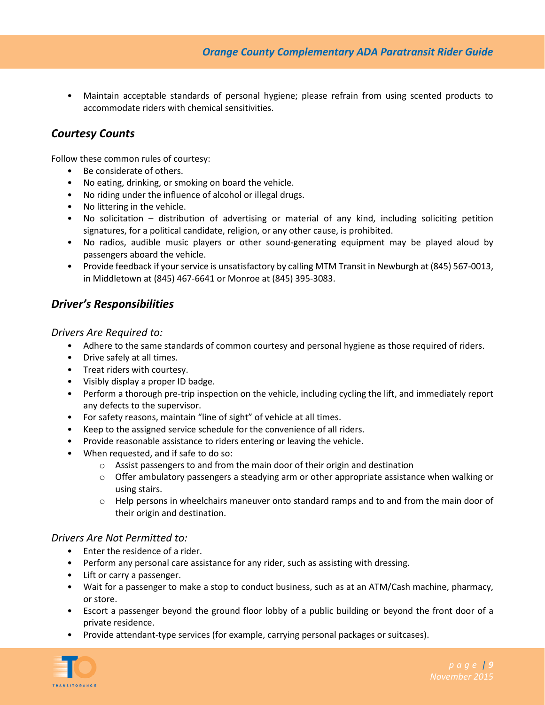• Maintain acceptable standards of personal hygiene; please refrain from using scented products to accommodate riders with chemical sensitivities.

## *Courtesy Counts*

Follow these common rules of courtesy:

- Be considerate of others.
- No eating, drinking, or smoking on board the vehicle.
- No riding under the influence of alcohol or illegal drugs.
- No littering in the vehicle.
- No solicitation distribution of advertising or material of any kind, including soliciting petition signatures, for a political candidate, religion, or any other cause, is prohibited.
- No radios, audible music players or other sound-generating equipment may be played aloud by passengers aboard the vehicle.
- Provide feedback if your service is unsatisfactory by calling MTM Transit in Newburgh at (845) 567-0013, in Middletown at (845) 467-6641 or Monroe at (845) 395-3083.

## *Driver's Responsibilities*

#### *Drivers Are Required to:*

- Adhere to the same standards of common courtesy and personal hygiene as those required of riders.
- Drive safely at all times.
- Treat riders with courtesy.
- Visibly display a proper ID badge.
- Perform a thorough pre-trip inspection on the vehicle, including cycling the lift, and immediately report any defects to the supervisor.
- For safety reasons, maintain "line of sight" of vehicle at all times.
- Keep to the assigned service schedule for the convenience of all riders.
- Provide reasonable assistance to riders entering or leaving the vehicle.
- When requested, and if safe to do so:
	- o Assist passengers to and from the main door of their origin and destination
	- $\circ$  Offer ambulatory passengers a steadying arm or other appropriate assistance when walking or using stairs.
	- $\circ$  Help persons in wheelchairs maneuver onto standard ramps and to and from the main door of their origin and destination.

#### *Drivers Are Not Permitted to:*

- Enter the residence of a rider.
- Perform any personal care assistance for any rider, such as assisting with dressing.
- Lift or carry a passenger.
- Wait for a passenger to make a stop to conduct business, such as at an ATM/Cash machine, pharmacy, or store.
- Escort a passenger beyond the ground floor lobby of a public building or beyond the front door of a private residence.
- Provide attendant-type services (for example, carrying personal packages or suitcases).

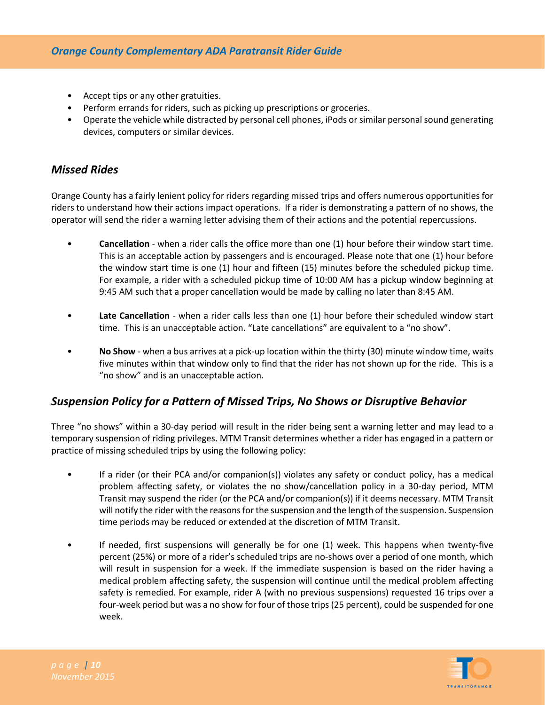- Accept tips or any other gratuities.
- Perform errands for riders, such as picking up prescriptions or groceries.
- Operate the vehicle while distracted by personal cell phones, iPods or similar personal sound generating devices, computers or similar devices.

# *Missed Rides*

Orange County has a fairly lenient policy for riders regarding missed trips and offers numerous opportunities for riders to understand how their actions impact operations. If a rider is demonstrating a pattern of no shows, the operator will send the rider a warning letter advising them of their actions and the potential repercussions.

- **Cancellation** when a rider calls the office more than one (1) hour before their window start time. This is an acceptable action by passengers and is encouraged. Please note that one (1) hour before the window start time is one (1) hour and fifteen (15) minutes before the scheduled pickup time. For example, a rider with a scheduled pickup time of 10:00 AM has a pickup window beginning at 9:45 AM such that a proper cancellation would be made by calling no later than 8:45 AM.
- **Late Cancellation** when a rider calls less than one (1) hour before their scheduled window start time. This is an unacceptable action. "Late cancellations" are equivalent to a "no show".
- **No Show** when a bus arrives at a pick-up location within the thirty (30) minute window time, waits five minutes within that window only to find that the rider has not shown up for the ride. This is a "no show" and is an unacceptable action.

# *Suspension Policy for a Pattern of Missed Trips, No Shows or Disruptive Behavior*

Three "no shows" within a 30-day period will result in the rider being sent a warning letter and may lead to a temporary suspension of riding privileges. MTM Transit determines whether a rider has engaged in a pattern or practice of missing scheduled trips by using the following policy:

- If a rider (or their PCA and/or companion(s)) violates any safety or conduct policy, has a medical problem affecting safety, or violates the no show/cancellation policy in a 30-day period, MTM Transit may suspend the rider (or the PCA and/or companion(s)) if it deems necessary. MTM Transit will notify the rider with the reasons for the suspension and the length of the suspension. Suspension time periods may be reduced or extended at the discretion of MTM Transit.
- If needed, first suspensions will generally be for one (1) week. This happens when twenty-five percent (25%) or more of a rider's scheduled trips are no-shows over a period of one month, which will result in suspension for a week. If the immediate suspension is based on the rider having a medical problem affecting safety, the suspension will continue until the medical problem affecting safety is remedied. For example, rider A (with no previous suspensions) requested 16 trips over a four-week period but was a no show for four of those trips (25 percent), could be suspended for one week.

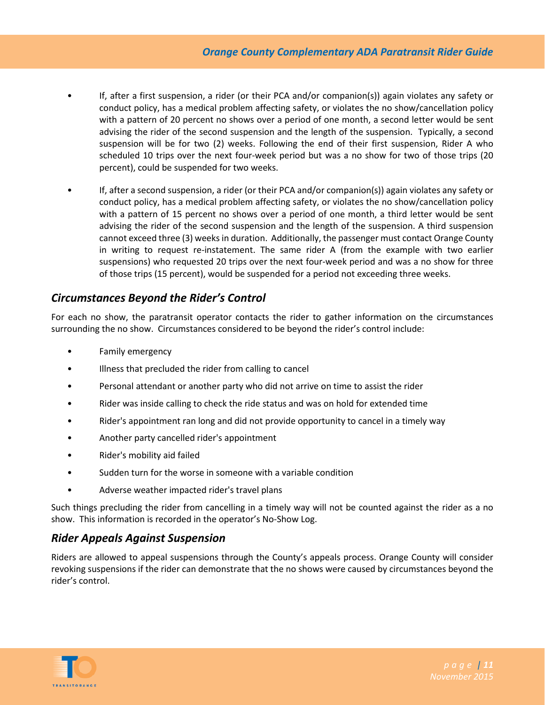- If, after a first suspension, a rider (or their PCA and/or companion(s)) again violates any safety or conduct policy, has a medical problem affecting safety, or violates the no show/cancellation policy with a pattern of 20 percent no shows over a period of one month, a second letter would be sent advising the rider of the second suspension and the length of the suspension. Typically, a second suspension will be for two (2) weeks. Following the end of their first suspension, Rider A who scheduled 10 trips over the next four-week period but was a no show for two of those trips (20 percent), could be suspended for two weeks.
- If, after a second suspension, a rider (or their PCA and/or companion(s)) again violates any safety or conduct policy, has a medical problem affecting safety, or violates the no show/cancellation policy with a pattern of 15 percent no shows over a period of one month, a third letter would be sent advising the rider of the second suspension and the length of the suspension. A third suspension cannot exceed three (3) weeks in duration. Additionally, the passenger must contact Orange County in writing to request re-instatement. The same rider A (from the example with two earlier suspensions) who requested 20 trips over the next four-week period and was a no show for three of those trips (15 percent), would be suspended for a period not exceeding three weeks.

# *Circumstances Beyond the Rider's Control*

For each no show, the paratransit operator contacts the rider to gather information on the circumstances surrounding the no show. Circumstances considered to be beyond the rider's control include:

- Family emergency
- Illness that precluded the rider from calling to cancel
- Personal attendant or another party who did not arrive on time to assist the rider
- Rider was inside calling to check the ride status and was on hold for extended time
- Rider's appointment ran long and did not provide opportunity to cancel in a timely way
- Another party cancelled rider's appointment
- Rider's mobility aid failed
- Sudden turn for the worse in someone with a variable condition
- Adverse weather impacted rider's travel plans

Such things precluding the rider from cancelling in a timely way will not be counted against the rider as a no show. This information is recorded in the operator's No-Show Log.

### *Rider Appeals Against Suspension*

Riders are allowed to appeal suspensions through the County's appeals process. Orange County will consider revoking suspensions if the rider can demonstrate that the no shows were caused by circumstances beyond the rider's control.

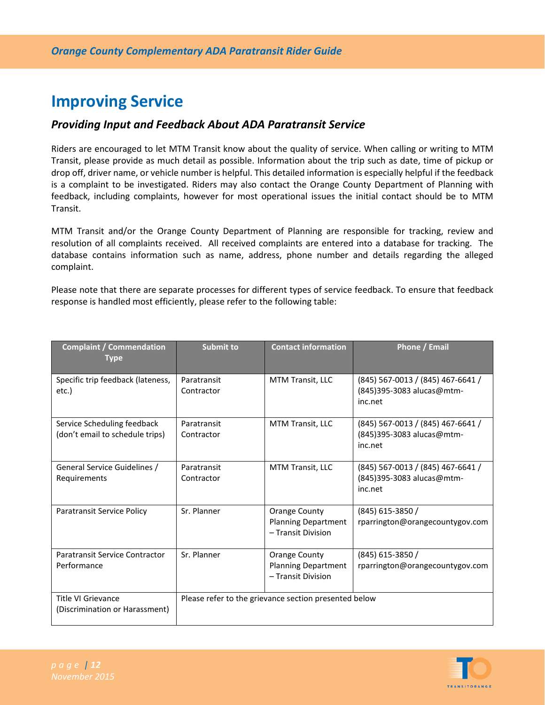# **Improving Service**

# *Providing Input and Feedback About ADA Paratransit Service*

Riders are encouraged to let MTM Transit know about the quality of service. When calling or writing to MTM Transit, please provide as much detail as possible. Information about the trip such as date, time of pickup or drop off, driver name, or vehicle number is helpful. This detailed information is especially helpful if the feedback is a complaint to be investigated. Riders may also contact the Orange County Department of Planning with feedback, including complaints, however for most operational issues the initial contact should be to MTM Transit.

MTM Transit and/or the Orange County Department of Planning are responsible for tracking, review and resolution of all complaints received. All received complaints are entered into a database for tracking. The database contains information such as name, address, phone number and details regarding the alleged complaint.

Please note that there are separate processes for different types of service feedback. To ensure that feedback response is handled most efficiently, please refer to the following table:

| <b>Complaint / Commendation</b><br><b>Type</b>                 | <b>Submit to</b>                                      | <b>Contact information</b>                                               | <b>Phone / Email</b>                                                      |
|----------------------------------------------------------------|-------------------------------------------------------|--------------------------------------------------------------------------|---------------------------------------------------------------------------|
| Specific trip feedback (lateness,<br>etc.)                     | Paratransit<br>Contractor                             | MTM Transit, LLC                                                         | (845) 567-0013 / (845) 467-6641 /<br>(845)395-3083 alucas@mtm-<br>inc.net |
| Service Scheduling feedback<br>(don't email to schedule trips) | Paratransit<br>Contractor                             | MTM Transit, LLC                                                         | (845) 567-0013 / (845) 467-6641 /<br>(845)395-3083 alucas@mtm-<br>inc.net |
| General Service Guidelines /<br>Requirements                   | Paratransit<br>Contractor                             | MTM Transit, LLC                                                         | (845) 567-0013 / (845) 467-6641 /<br>(845)395-3083 alucas@mtm-<br>inc.net |
| Paratransit Service Policy                                     | Sr. Planner                                           | <b>Orange County</b><br><b>Planning Department</b><br>- Transit Division | (845) 615-3850 /<br>rparrington@orangecountygov.com                       |
| Paratransit Service Contractor<br>Performance                  | Sr. Planner                                           | Orange County<br><b>Planning Department</b><br>- Transit Division        | $(845)$ 615-3850 /<br>rparrington@orangecountygov.com                     |
| <b>Title VI Grievance</b><br>(Discrimination or Harassment)    | Please refer to the grievance section presented below |                                                                          |                                                                           |

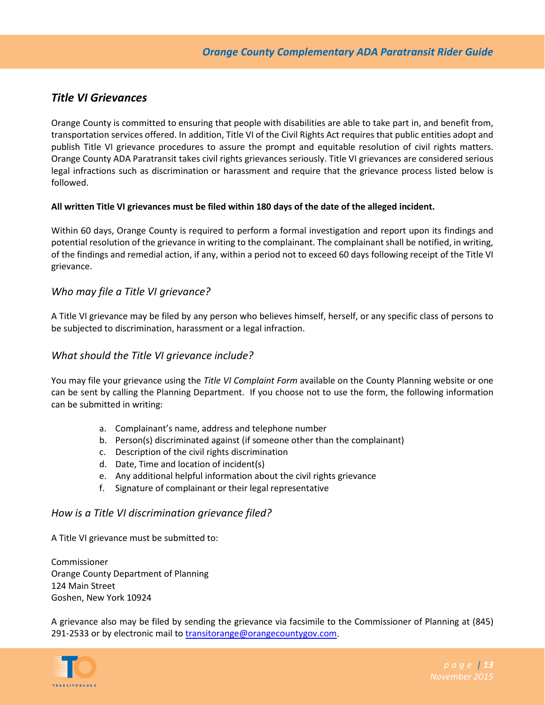# *Title VI Grievances*

Orange County is committed to ensuring that people with disabilities are able to take part in, and benefit from, transportation services offered. In addition, Title VI of the Civil Rights Act requires that public entities adopt and publish Title VI grievance procedures to assure the prompt and equitable resolution of civil rights matters. Orange County ADA Paratransit takes civil rights grievances seriously. Title VI grievances are considered serious legal infractions such as discrimination or harassment and require that the grievance process listed below is followed.

#### **All written Title VI grievances must be filed within 180 days of the date of the alleged incident.**

Within 60 days, Orange County is required to perform a formal investigation and report upon its findings and potential resolution of the grievance in writing to the complainant. The complainant shall be notified, in writing, of the findings and remedial action, if any, within a period not to exceed 60 days following receipt of the Title VI grievance.

### *Who may file a Title VI grievance?*

A Title VI grievance may be filed by any person who believes himself, herself, or any specific class of persons to be subjected to discrimination, harassment or a legal infraction.

### *What should the Title VI grievance include?*

You may file your grievance using the *Title VI Complaint Form* available on the County Planning website or one can be sent by calling the Planning Department. If you choose not to use the form, the following information can be submitted in writing:

- a. Complainant's name, address and telephone number
- b. Person(s) discriminated against (if someone other than the complainant)
- c. Description of the civil rights discrimination
- d. Date, Time and location of incident(s)
- e. Any additional helpful information about the civil rights grievance
- f. Signature of complainant or their legal representative

#### *How is a Title VI discrimination grievance filed?*

A Title VI grievance must be submitted to:

Commissioner Orange County Department of Planning 124 Main Street Goshen, New York 10924

A grievance also may be filed by sending the grievance via facsimile to the Commissioner of Planning at (845) 291-2533 or by electronic mail to [transitorange@orangecountygov.com.](mailto:transitorange@orangecountygov.com)

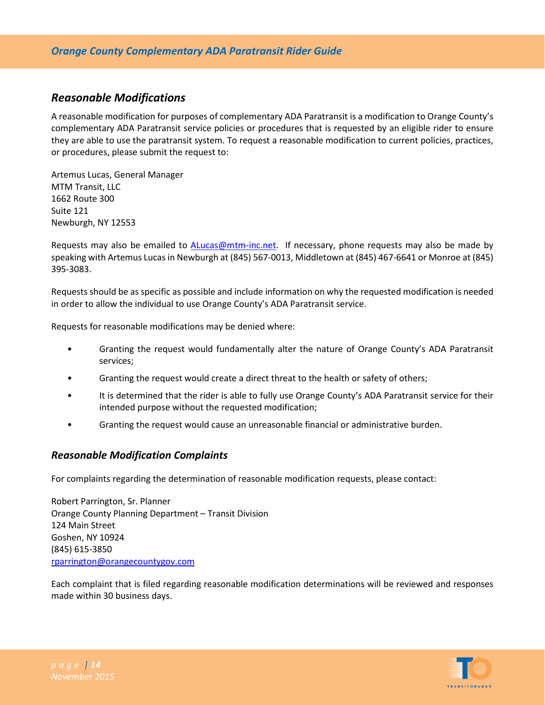# *Reasonable Modifications*

A reasonable modification for purposes of complementary ADA Paratransit is a modification to Orange County's complementary ADA Paratransit service policies or procedures that is requested by an eligible rider to ensure they are able to use the paratransit system. To request a reasonable modification to current policies, practices, or procedures, please submit the request to:

Artemus Lucas, General Manager MTM Transit, LLC 1662 Route 300 Suite 121 Newburgh, NY 12553

Requests may also be emailed to **ALucas@mtm-inc.net**. If necessary, phone requests may also be made by speaking with Artemus Lucas in Newburgh at (845) 567-0013, Middletown at (845) 467-6641 or Monroe at (845) 395-3083.

Requests should be as specific as possible and include information on why the requested modification is needed in order to allow the individual to use Orange County's ADA Paratransit service.

Requests for reasonable modifications may be denied where:

- Granting the request would fundamentally alter the nature of Orange County's ADA Paratransit services;
- Granting the request would create a direct threat to the health or safety of others;
- It is determined that the rider is able to fully use Orange County's ADA Paratransit service for their intended purpose without the requested modification;
- Granting the request would cause an unreasonable financial or administrative burden.

#### *Reasonable Modification Complaints*

For complaints regarding the determination of reasonable modification requests, please contact:

Robert Parrington, Sr. Planner Orange County Planning Department – Transit Division 124 Main Street Goshen, NY 10924 (845) 615-3850 [rparrington@orangecountygov.com](mailto:rparrington@orangecountygov.com)

Each complaint that is filed regarding reasonable modification determinations will be reviewed and responses made within 30 business days.

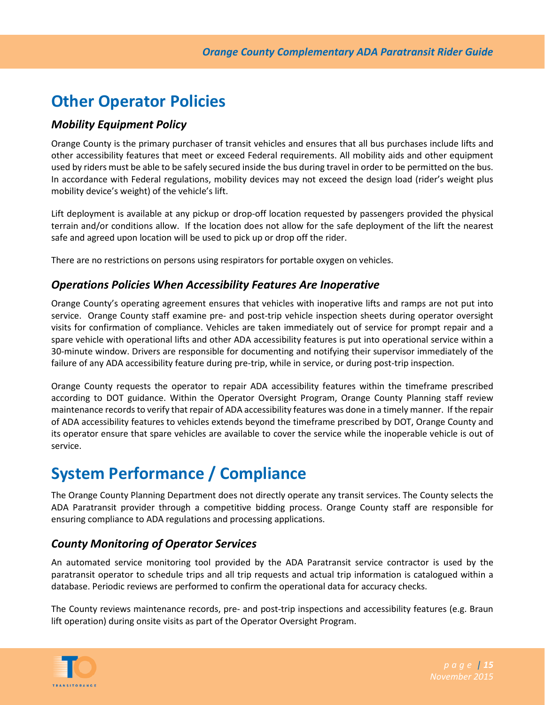# **Other Operator Policies**

# *Mobility Equipment Policy*

Orange County is the primary purchaser of transit vehicles and ensures that all bus purchases include lifts and other accessibility features that meet or exceed Federal requirements. All mobility aids and other equipment used by riders must be able to be safely secured inside the bus during travel in order to be permitted on the bus. In accordance with Federal regulations, mobility devices may not exceed the design load (rider's weight plus mobility device's weight) of the vehicle's lift.

Lift deployment is available at any pickup or drop-off location requested by passengers provided the physical terrain and/or conditions allow. If the location does not allow for the safe deployment of the lift the nearest safe and agreed upon location will be used to pick up or drop off the rider.

There are no restrictions on persons using respirators for portable oxygen on vehicles.

## *Operations Policies When Accessibility Features Are Inoperative*

Orange County's operating agreement ensures that vehicles with inoperative lifts and ramps are not put into service. Orange County staff examine pre- and post-trip vehicle inspection sheets during operator oversight visits for confirmation of compliance. Vehicles are taken immediately out of service for prompt repair and a spare vehicle with operational lifts and other ADA accessibility features is put into operational service within a 30-minute window. Drivers are responsible for documenting and notifying their supervisor immediately of the failure of any ADA accessibility feature during pre-trip, while in service, or during post-trip inspection.

Orange County requests the operator to repair ADA accessibility features within the timeframe prescribed according to DOT guidance. Within the Operator Oversight Program, Orange County Planning staff review maintenance records to verify that repair of ADA accessibility features was done in a timely manner. If the repair of ADA accessibility features to vehicles extends beyond the timeframe prescribed by DOT, Orange County and its operator ensure that spare vehicles are available to cover the service while the inoperable vehicle is out of service.

# **System Performance / Compliance**

The Orange County Planning Department does not directly operate any transit services. The County selects the ADA Paratransit provider through a competitive bidding process. Orange County staff are responsible for ensuring compliance to ADA regulations and processing applications.

# *County Monitoring of Operator Services*

An automated service monitoring tool provided by the ADA Paratransit service contractor is used by the paratransit operator to schedule trips and all trip requests and actual trip information is catalogued within a database. Periodic reviews are performed to confirm the operational data for accuracy checks.

The County reviews maintenance records, pre- and post-trip inspections and accessibility features (e.g. Braun lift operation) during onsite visits as part of the Operator Oversight Program.